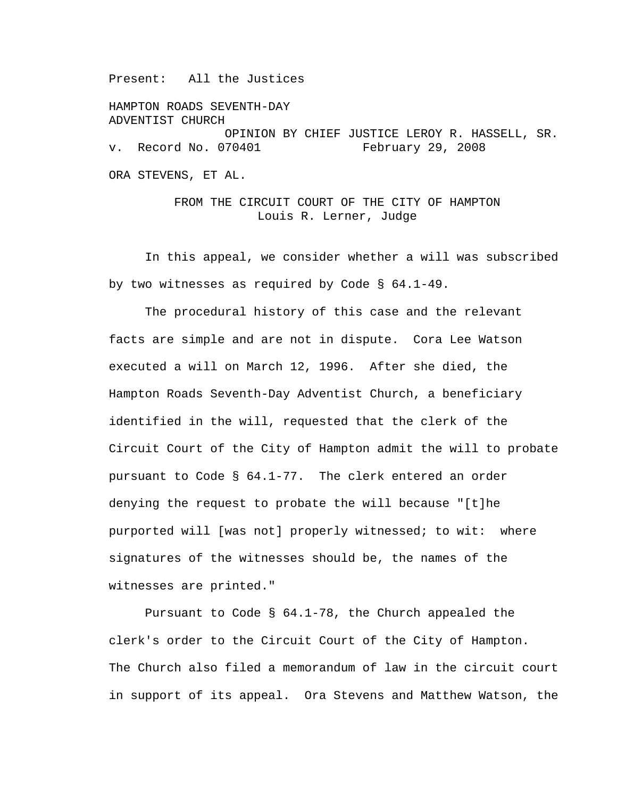Present: All the Justices

HAMPTON ROADS SEVENTH-DAY ADVENTIST CHURCH OPINION BY CHIEF JUSTICE LEROY R. HASSELL, SR. v. Record No. 070401 February 29, 2008 ORA STEVENS, ET AL.

> FROM THE CIRCUIT COURT OF THE CITY OF HAMPTON Louis R. Lerner, Judge

In this appeal, we consider whether a will was subscribed by two witnesses as required by Code § 64.1-49.

The procedural history of this case and the relevant facts are simple and are not in dispute. Cora Lee Watson executed a will on March 12, 1996. After she died, the Hampton Roads Seventh-Day Adventist Church, a beneficiary identified in the will, requested that the clerk of the Circuit Court of the City of Hampton admit the will to probate pursuant to Code § 64.1-77. The clerk entered an order denying the request to probate the will because "[t]he purported will [was not] properly witnessed; to wit: where signatures of the witnesses should be, the names of the witnesses are printed."

 Pursuant to Code § 64.1-78, the Church appealed the clerk's order to the Circuit Court of the City of Hampton. The Church also filed a memorandum of law in the circuit court in support of its appeal. Ora Stevens and Matthew Watson, the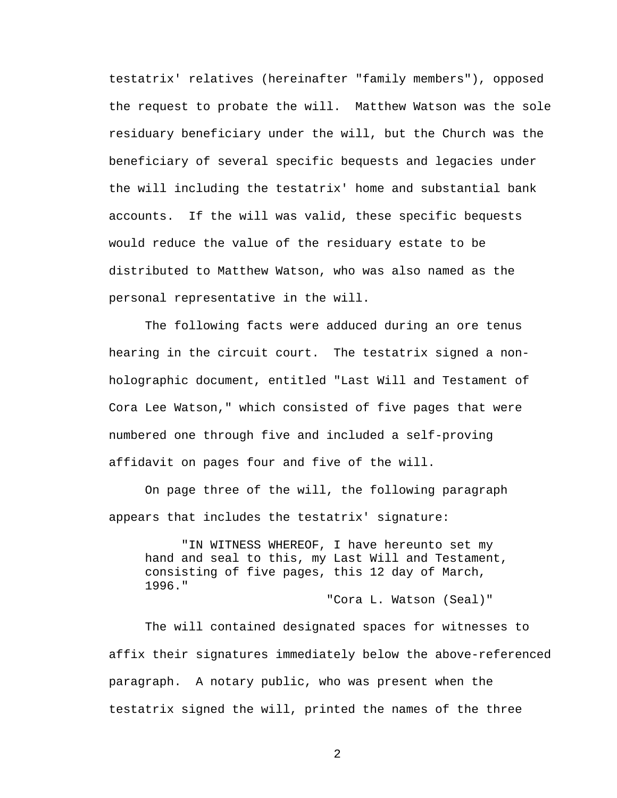testatrix' relatives (hereinafter "family members"), opposed the request to probate the will. Matthew Watson was the sole residuary beneficiary under the will, but the Church was the beneficiary of several specific bequests and legacies under the will including the testatrix' home and substantial bank accounts. If the will was valid, these specific bequests would reduce the value of the residuary estate to be distributed to Matthew Watson, who was also named as the personal representative in the will.

 The following facts were adduced during an ore tenus hearing in the circuit court. The testatrix signed a nonholographic document, entitled "Last Will and Testament of Cora Lee Watson," which consisted of five pages that were numbered one through five and included a self-proving affidavit on pages four and five of the will.

 On page three of the will, the following paragraph appears that includes the testatrix' signature:

 "IN WITNESS WHEREOF, I have hereunto set my hand and seal to this, my Last Will and Testament, consisting of five pages, this 12 day of March, 1996."

"Cora L. Watson (Seal)"

 The will contained designated spaces for witnesses to affix their signatures immediately below the above-referenced paragraph. A notary public, who was present when the testatrix signed the will, printed the names of the three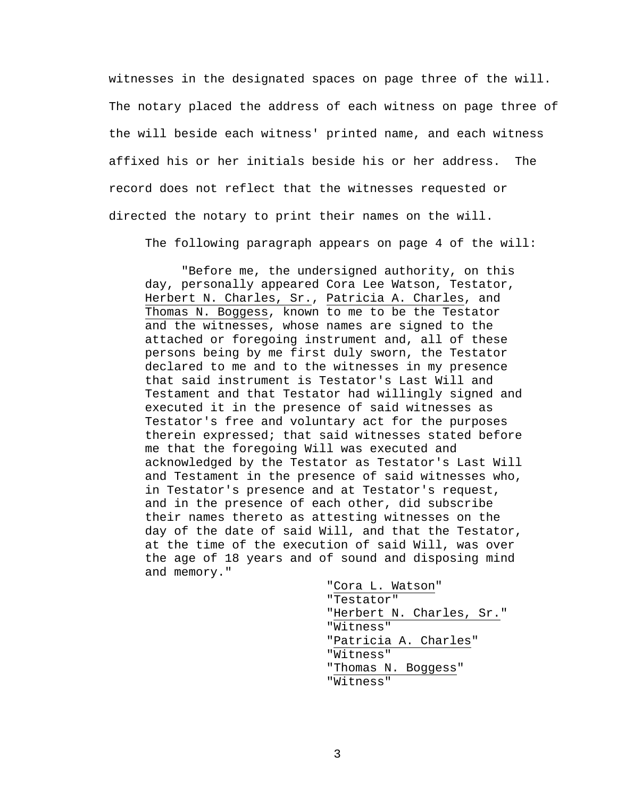witnesses in the designated spaces on page three of the will. The notary placed the address of each witness on page three of the will beside each witness' printed name, and each witness affixed his or her initials beside his or her address. The record does not reflect that the witnesses requested or directed the notary to print their names on the will.

The following paragraph appears on page 4 of the will:

 "Before me, the undersigned authority, on this day, personally appeared Cora Lee Watson, Testator, Herbert N. Charles, Sr., Patricia A. Charles, and Thomas N. Boggess, known to me to be the Testator and the witnesses, whose names are signed to the attached or foregoing instrument and, all of these persons being by me first duly sworn, the Testator declared to me and to the witnesses in my presence that said instrument is Testator's Last Will and Testament and that Testator had willingly signed and executed it in the presence of said witnesses as Testator's free and voluntary act for the purposes therein expressed; that said witnesses stated before me that the foregoing Will was executed and acknowledged by the Testator as Testator's Last Will and Testament in the presence of said witnesses who, in Testator's presence and at Testator's request, and in the presence of each other, did subscribe their names thereto as attesting witnesses on the day of the date of said Will, and that the Testator, at the time of the execution of said Will, was over the age of 18 years and of sound and disposing mind and memory."

> "Cora L. Watson" "Testator" "Herbert N. Charles, Sr." "Witness" "Patricia A. Charles" "Witness" "Thomas N. Boggess" "Witness"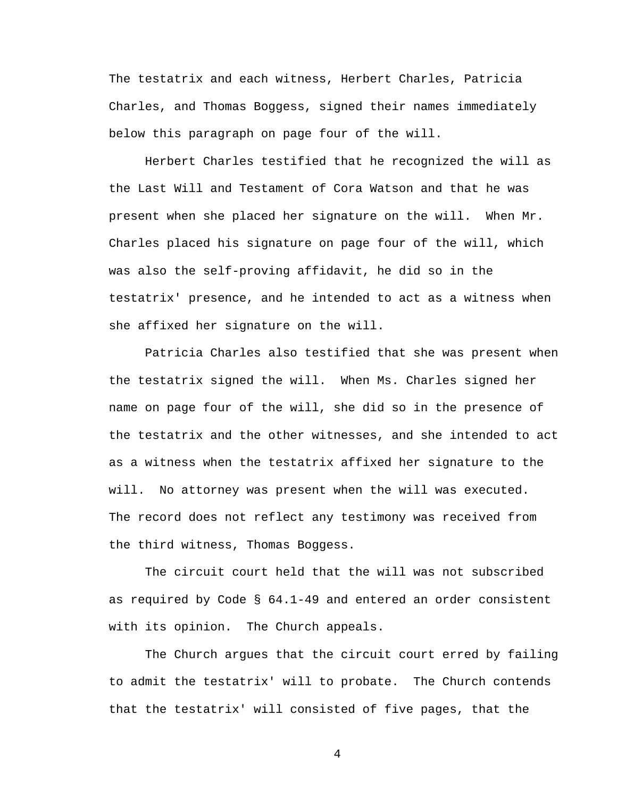The testatrix and each witness, Herbert Charles, Patricia Charles, and Thomas Boggess, signed their names immediately below this paragraph on page four of the will.

Herbert Charles testified that he recognized the will as the Last Will and Testament of Cora Watson and that he was present when she placed her signature on the will. When Mr. Charles placed his signature on page four of the will, which was also the self-proving affidavit, he did so in the testatrix' presence, and he intended to act as a witness when she affixed her signature on the will.

Patricia Charles also testified that she was present when the testatrix signed the will. When Ms. Charles signed her name on page four of the will, she did so in the presence of the testatrix and the other witnesses, and she intended to act as a witness when the testatrix affixed her signature to the will. No attorney was present when the will was executed. The record does not reflect any testimony was received from the third witness, Thomas Boggess.

 The circuit court held that the will was not subscribed as required by Code § 64.1-49 and entered an order consistent with its opinion. The Church appeals.

 The Church argues that the circuit court erred by failing to admit the testatrix' will to probate. The Church contends that the testatrix' will consisted of five pages, that the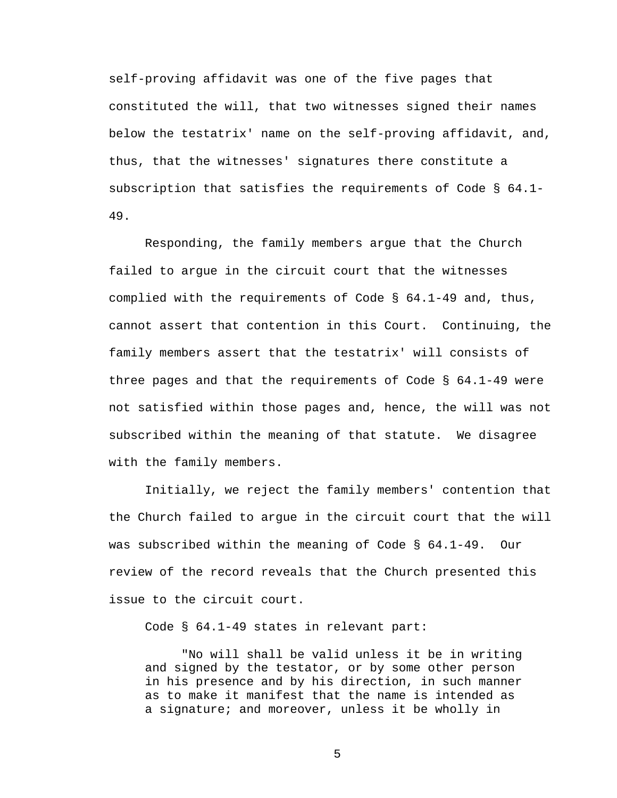self-proving affidavit was one of the five pages that constituted the will, that two witnesses signed their names below the testatrix' name on the self-proving affidavit, and, thus, that the witnesses' signatures there constitute a subscription that satisfies the requirements of Code § 64.1- 49.

 Responding, the family members argue that the Church failed to argue in the circuit court that the witnesses complied with the requirements of Code § 64.1-49 and, thus, cannot assert that contention in this Court. Continuing, the family members assert that the testatrix' will consists of three pages and that the requirements of Code § 64.1-49 were not satisfied within those pages and, hence, the will was not subscribed within the meaning of that statute. We disagree with the family members.

 Initially, we reject the family members' contention that the Church failed to argue in the circuit court that the will was subscribed within the meaning of Code § 64.1-49. Our review of the record reveals that the Church presented this issue to the circuit court.

Code § 64.1-49 states in relevant part:

"No will shall be valid unless it be in writing and signed by the testator, or by some other person in his presence and by his direction, in such manner as to make it manifest that the name is intended as a signature; and moreover, unless it be wholly in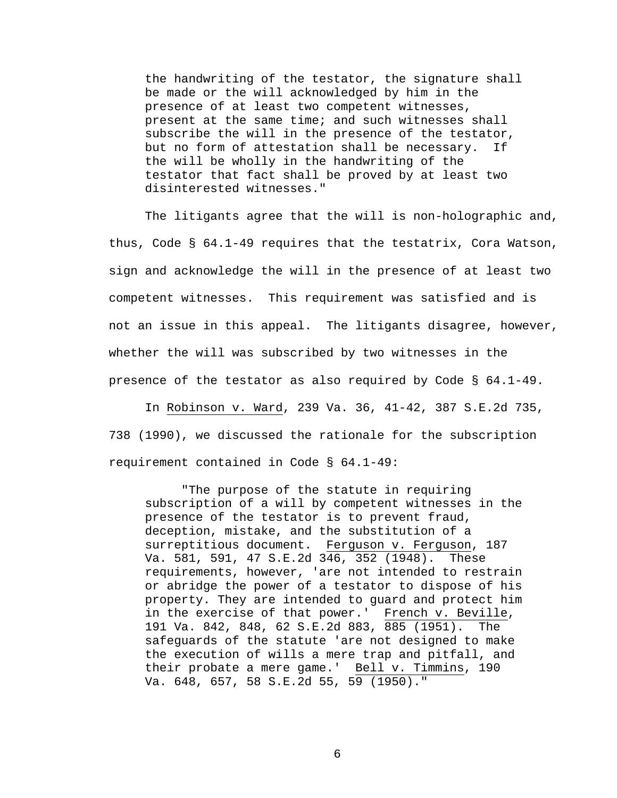the handwriting of the testator, the signature shall be made or the will acknowledged by him in the presence of at least two competent witnesses, present at the same time; and such witnesses shall subscribe the will in the presence of the testator, but no form of attestation shall be necessary. If the will be wholly in the handwriting of the testator that fact shall be proved by at least two disinterested witnesses."

 The litigants agree that the will is non-holographic and, thus, Code § 64.1-49 requires that the testatrix, Cora Watson, sign and acknowledge the will in the presence of at least two competent witnesses. This requirement was satisfied and is not an issue in this appeal. The litigants disagree, however, whether the will was subscribed by two witnesses in the presence of the testator as also required by Code § 64.1-49.

 In Robinson v. Ward, 239 Va. 36, 41-42, 387 S.E.2d 735, 738 (1990), we discussed the rationale for the subscription requirement contained in Code § 64.1-49:

"The purpose of the statute in requiring subscription of a will by competent witnesses in the presence of the testator is to prevent fraud, deception, mistake, and the substitution of a surreptitious document. Ferguson v. Ferguson, 187 Va. 581, 591, 47 S.E.2d 346, 352 (1948). These requirements, however, 'are not intended to restrain or abridge the power of a testator to dispose of his property. They are intended to guard and protect him in the exercise of that power.' French v. Beville, 191 Va. 842, 848, 62 S.E.2d 883, 885 (1951). The safeguards of the statute 'are not designed to make the execution of wills a mere trap and pitfall, and their probate a mere game.' Bell v. Timmins, 190 Va. 648, 657, 58 S.E.2d 55, 59 (1950)."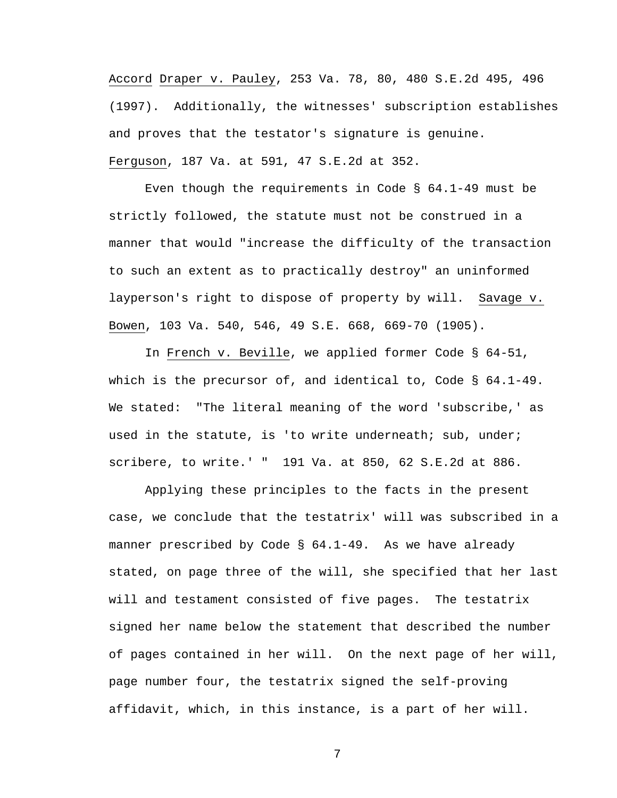Accord Draper v. Pauley, 253 Va. 78, 80, 480 S.E.2d 495, 496 (1997). Additionally, the witnesses' subscription establishes and proves that the testator's signature is genuine. Ferguson, 187 Va. at 591, 47 S.E.2d at 352.

 Even though the requirements in Code § 64.1-49 must be strictly followed, the statute must not be construed in a manner that would "increase the difficulty of the transaction to such an extent as to practically destroy" an uninformed layperson's right to dispose of property by will. Savage v. Bowen, 103 Va. 540, 546, 49 S.E. 668, 669-70 (1905).

 In French v. Beville, we applied former Code § 64-51, which is the precursor of, and identical to, Code § 64.1-49. We stated: "The literal meaning of the word 'subscribe,' as used in the statute, is 'to write underneath; sub, under; scribere, to write.' " 191 Va. at 850, 62 S.E.2d at 886.

 Applying these principles to the facts in the present case, we conclude that the testatrix' will was subscribed in a manner prescribed by Code § 64.1-49. As we have already stated, on page three of the will, she specified that her last will and testament consisted of five pages. The testatrix signed her name below the statement that described the number of pages contained in her will. On the next page of her will, page number four, the testatrix signed the self-proving affidavit, which, in this instance, is a part of her will.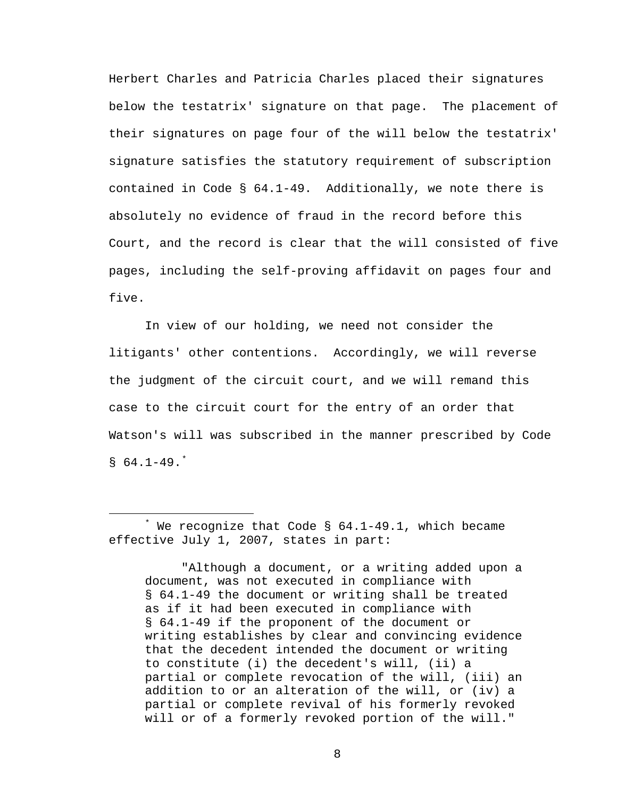Herbert Charles and Patricia Charles placed their signatures below the testatrix' signature on that page. The placement of their signatures on page four of the will below the testatrix' signature satisfies the statutory requirement of subscription contained in Code § 64.1-49. Additionally, we note there is absolutely no evidence of fraud in the record before this Court, and the record is clear that the will consisted of five pages, including the self-proving affidavit on pages four and five.

 In view of our holding, we need not consider the litigants' other contentions. Accordingly, we will reverse the judgment of the circuit court, and we will remand this case to the circuit court for the entry of an order that Watson's will was subscribed in the manner prescribed by Code  $$64.1-49.$ 

 "Although a document, or a writing added upon a document, was not executed in compliance with § 64.1-49 the document or writing shall be treated as if it had been executed in compliance with § 64.1-49 if the proponent of the document or writing establishes by clear and convincing evidence that the decedent intended the document or writing to constitute (i) the decedent's will, (ii) a partial or complete revocation of the will, (iii) an addition to or an alteration of the will, or (iv) a partial or complete revival of his formerly revoked will or of a formerly revoked portion of the will."

<span id="page-7-0"></span> $\overline{\phantom{a}}$  $*$  We recognize that Code § 64.1-49.1, which became effective July 1, 2007, states in part: